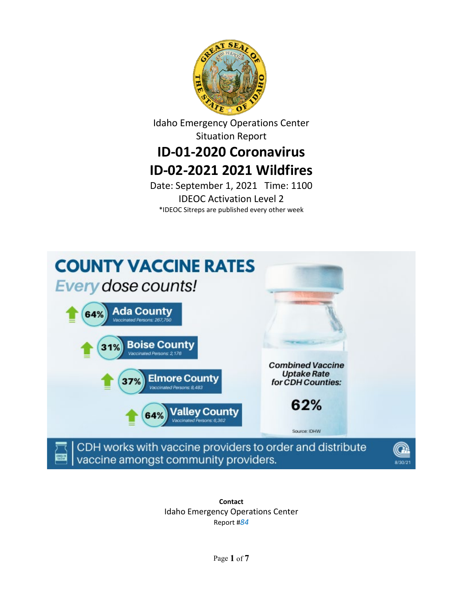

Idaho Emergency Operations Center Situation Report

# **ID-01-2020 Coronavirus ID-02-2021 2021 Wildfires**

Date: September 1, 2021 Time: 1100 IDEOC Activation Level 2 \*IDEOC Sitreps are published every other week



**Contact** Idaho Emergency Operations Center Report #*84*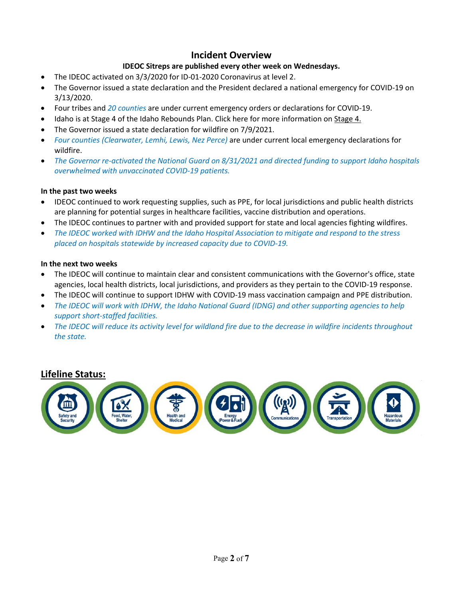### **Incident Overview**

### **IDEOC Sitreps are published every other week on Wednesdays.**

- The IDEOC activated on 3/3/2020 for ID-01-2020 Coronavirus at level 2.
- The Governor issued a state declaration and the President declared a national emergency for COVID-19 on 3/13/2020.
- Four tribes and *20 counties* are under current emergency orders or declarations for COVID-19.
- Idaho is at Stage 4 of the Idaho Rebounds Plan. Click here for more information on [Stage 4.](https://rebound.idaho.gov/stages-of-reopening/)
- The Governor issued a state declaration for wildfire on 7/9/2021.
- *Four counties (Clearwater, Lemhi, Lewis, Nez Perce)* are under current local emergency declarations for wildfire.
- *The Governor re-activated the National Guard on 8/31/2021 and directed funding to support Idaho hospitals overwhelmed with unvaccinated COVID-19 patients.*

#### **In the past two weeks**

- IDEOC continued to work requesting supplies, such as PPE, for local jurisdictions and public health districts are planning for potential surges in healthcare facilities, vaccine distribution and operations.
- The IDEOC continues to partner with and provided support for state and local agencies fighting wildfires.
- *The IDEOC worked with IDHW and the Idaho Hospital Association to mitigate and respond to the stress placed on hospitals statewide by increased capacity due to COVID-19.*

#### **In the next two weeks**

- The IDEOC will continue to maintain clear and consistent communications with the Governor's office, state agencies, local health districts, local jurisdictions, and providers as they pertain to the COVID-19 response.
- The IDEOC will continue to support IDHW with COVID-19 mass vaccination campaign and PPE distribution.
- *The IDEOC will work with IDHW, the Idaho National Guard (IDNG) and other supporting agencies to help support short-staffed facilities.*
- *The IDEOC will reduce its activity level for wildland fire due to the decrease in wildfire incidents throughout the state.*

### **Lifeline Status:**

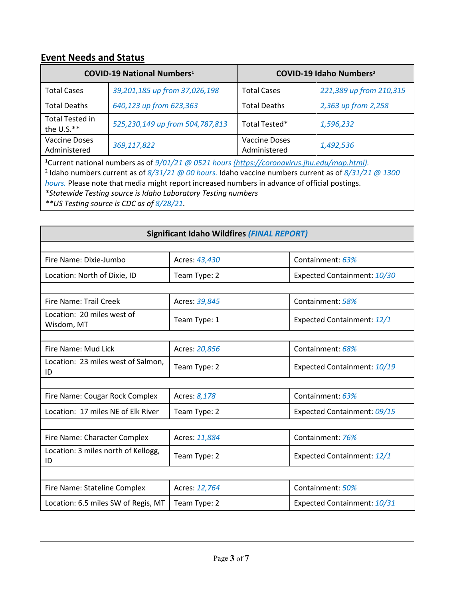# **Event Needs and Status**

|                                      | <b>COVID-19 National Numbers1</b>                                                                                                                                                                                                 |                     | COVID-19 Idaho Numbers <sup>2</sup> |  |  |  |
|--------------------------------------|-----------------------------------------------------------------------------------------------------------------------------------------------------------------------------------------------------------------------------------|---------------------|-------------------------------------|--|--|--|
| <b>Total Cases</b>                   | 39,201,185 up from 37,026,198                                                                                                                                                                                                     | <b>Total Cases</b>  | 221,389 up from 210,315             |  |  |  |
| <b>Total Deaths</b>                  | 640,123 up from 623,363                                                                                                                                                                                                           | <b>Total Deaths</b> | 2,363 up from 2,258                 |  |  |  |
| <b>Total Tested in</b><br>the U.S.** | 525,230,149 up from 504,787,813                                                                                                                                                                                                   | Total Tested*       | 1,596,232                           |  |  |  |
| <b>Vaccine Doses</b><br>Administered | <b>Vaccine Doses</b><br>369,117,822<br>1,492,536<br>Administered                                                                                                                                                                  |                     |                                     |  |  |  |
|                                      | <sup>1</sup> Current national numbers as of $9/01/21$ @ 0521 hours (https://coronavirus.jhu.edu/map.html).<br><sup>2</sup> Idaho numbers current as of $8/31/21$ @ 00 hours. Idaho vaccine numbers current as of $8/31/21$ @ 1300 |                     |                                     |  |  |  |

*hours.* Please note that media might report increased numbers in advance of official postings.

*\*Statewide Testing source is Idaho Laboratory Testing numbers*

*\*\*US Testing source is CDC as of 8/28/21.*

| <b>Significant Idaho Wildfires (FINAL REPORT)</b> |               |                             |  |  |
|---------------------------------------------------|---------------|-----------------------------|--|--|
|                                                   |               |                             |  |  |
| Fire Name: Dixie-Jumbo                            | Acres: 43,430 | Containment: 63%            |  |  |
| Location: North of Dixie, ID                      | Team Type: 2  | Expected Containment: 10/30 |  |  |
|                                                   |               |                             |  |  |
| Fire Name: Trail Creek                            | Acres: 39,845 | Containment: 58%            |  |  |
| Location: 20 miles west of<br>Wisdom, MT          | Team Type: 1  | Expected Containment: 12/1  |  |  |
|                                                   |               |                             |  |  |
| Fire Name: Mud Lick                               | Acres: 20,856 | Containment: 68%            |  |  |
| Location: 23 miles west of Salmon,<br>ID          | Team Type: 2  | Expected Containment: 10/19 |  |  |
|                                                   |               |                             |  |  |
| Fire Name: Cougar Rock Complex                    | Acres: 8,178  | Containment: 63%            |  |  |
| Location: 17 miles NE of Elk River                | Team Type: 2  | Expected Containment: 09/15 |  |  |
|                                                   |               |                             |  |  |
| Fire Name: Character Complex                      | Acres: 11,884 | Containment: 76%            |  |  |
| Location: 3 miles north of Kellogg,<br>ID         | Team Type: 2  | Expected Containment: 12/1  |  |  |
|                                                   |               |                             |  |  |
| Fire Name: Stateline Complex                      | Acres: 12,764 | Containment: 50%            |  |  |
| Location: 6.5 miles SW of Regis, MT               | Team Type: 2  | Expected Containment: 10/31 |  |  |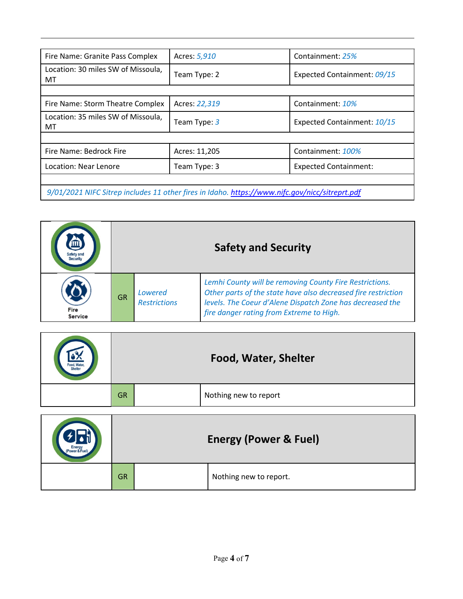| Fire Name: Granite Pass Complex                                                                | Acres: 5,910  | Containment: 25%             |  |  |  |
|------------------------------------------------------------------------------------------------|---------------|------------------------------|--|--|--|
| Location: 30 miles SW of Missoula,<br>MT                                                       | Team Type: 2  | Expected Containment: 09/15  |  |  |  |
|                                                                                                |               |                              |  |  |  |
| Fire Name: Storm Theatre Complex                                                               | Acres: 22,319 | Containment: 10%             |  |  |  |
| Location: 35 miles SW of Missoula,<br>МT                                                       | Team Type: 3  | Expected Containment: 10/15  |  |  |  |
|                                                                                                |               |                              |  |  |  |
| Fire Name: Bedrock Fire                                                                        | Acres: 11,205 | Containment: 100%            |  |  |  |
| Location: Near Lenore                                                                          | Team Type: 3  | <b>Expected Containment:</b> |  |  |  |
|                                                                                                |               |                              |  |  |  |
| 9/01/2021 NIFC Sitrep includes 11 other fires in Idaho. https://www.nifc.gov/nicc/sitreprt.pdf |               |                              |  |  |  |

|                 | <b>Safety and Security</b> |                                |                                                                                                                                                                                                                                   |
|-----------------|----------------------------|--------------------------------|-----------------------------------------------------------------------------------------------------------------------------------------------------------------------------------------------------------------------------------|
| Fire<br>Service | <b>GR</b>                  | Lowered<br><b>Restrictions</b> | Lemhi County will be removing County Fire Restrictions.<br>Other parts of the state have also decreased fire restriction<br>levels. The Coeur d'Alene Dispatch Zone has decreased the<br>fire danger rating from Extreme to High. |

| Food, Water. | Food, Water, Shelter |  |                       |
|--------------|----------------------|--|-----------------------|
|              | <b>GR</b>            |  | Nothing new to report |

| Power & Fuel) | <b>Energy (Power &amp; Fuel)</b> |  |                        |
|---------------|----------------------------------|--|------------------------|
|               | <b>GR</b>                        |  | Nothing new to report. |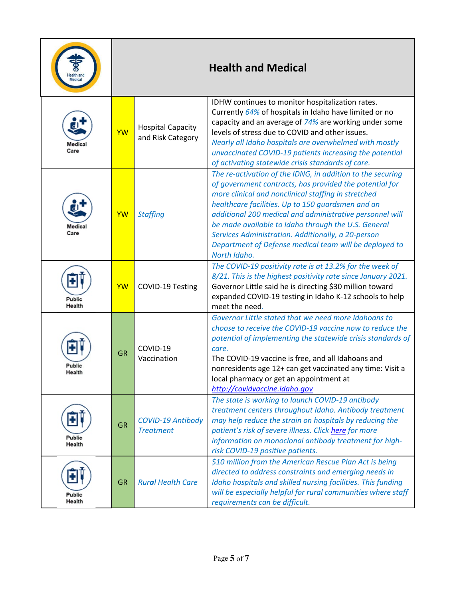| lealth and              |           |                                               | <b>Health and Medical</b>                                                                                                                                                                                                                                                                                                                                                                                                                                                            |
|-------------------------|-----------|-----------------------------------------------|--------------------------------------------------------------------------------------------------------------------------------------------------------------------------------------------------------------------------------------------------------------------------------------------------------------------------------------------------------------------------------------------------------------------------------------------------------------------------------------|
| Medical<br>Care         | <b>YW</b> | <b>Hospital Capacity</b><br>and Risk Category | IDHW continues to monitor hospitalization rates.<br>Currently 64% of hospitals in Idaho have limited or no<br>capacity and an average of 74% are working under some<br>levels of stress due to COVID and other issues.<br>Nearly all Idaho hospitals are overwhelmed with mostly<br>unvaccinated COVID-19 patients increasing the potential<br>of activating statewide crisis standards of care.                                                                                     |
| Medical<br>Care         | YW        | <b>Staffing</b>                               | The re-activation of the IDNG, in addition to the securing<br>of government contracts, has provided the potential for<br>more clinical and nonclinical staffing in stretched<br>healthcare facilities. Up to 150 guardsmen and an<br>additional 200 medical and administrative personnel will<br>be made available to Idaho through the U.S. General<br>Services Administration. Additionally, a 20-person<br>Department of Defense medical team will be deployed to<br>North Idaho. |
| Public<br>Health        | YW        | COVID-19 Testing                              | The COVID-19 positivity rate is at 13.2% for the week of<br>8/21. This is the highest positivity rate since January 2021.<br>Governor Little said he is directing \$30 million toward<br>expanded COVID-19 testing in Idaho K-12 schools to help<br>meet the need.                                                                                                                                                                                                                   |
| Public<br>Health        | <b>GR</b> | COVID-19<br>Vaccination                       | Governor Little stated that we need more Idahoans to<br>choose to receive the COVID-19 vaccine now to reduce the<br>potential of implementing the statewide crisis standards of<br>care.<br>The COVID-19 vaccine is free, and all Idahoans and<br>nonresidents age 12+ can get vaccinated any time: Visit a<br>local pharmacy or get an appointment at<br>http://covidvaccine.idaho.gov                                                                                              |
| Public<br>Health        | <b>GR</b> | COVID-19 Antibody<br><b>Treatment</b>         | The state is working to launch COVID-19 antibody<br>treatment centers throughout Idaho. Antibody treatment<br>may help reduce the strain on hospitals by reducing the<br>patient's risk of severe illness. Click here for more<br>information on monoclonal antibody treatment for high-<br>risk COVID-19 positive patients.                                                                                                                                                         |
| <b>Public</b><br>Health | <b>GR</b> | <b>Rural Health Care</b>                      | \$10 million from the American Rescue Plan Act is being<br>directed to address constraints and emerging needs in<br>Idaho hospitals and skilled nursing facilities. This funding<br>will be especially helpful for rural communities where staff<br>requirements can be difficult.                                                                                                                                                                                                   |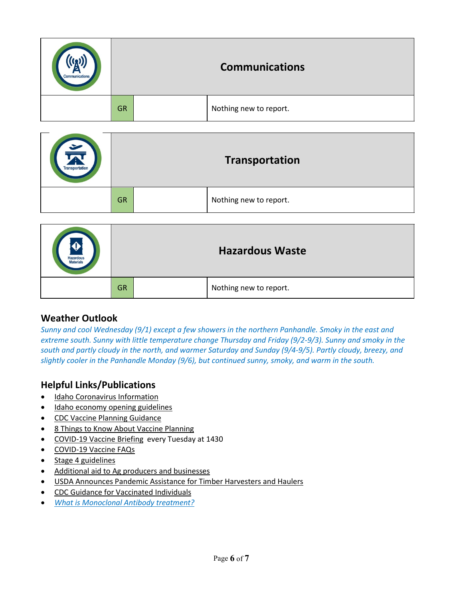| Communications | <b>Communications</b> |  |                        |
|----------------|-----------------------|--|------------------------|
|                | <b>GR</b>             |  | Nothing new to report. |

| $\cong$<br><b>Transportation</b> | Transportation |  |                        |
|----------------------------------|----------------|--|------------------------|
|                                  | <b>GR</b>      |  | Nothing new to report. |

| <b>Hazardous</b><br><b>Materials</b> | <b>Hazardous Waste</b> |  |                        |
|--------------------------------------|------------------------|--|------------------------|
|                                      | <b>GR</b>              |  | Nothing new to report. |

## **Weather Outlook**

*Sunny and cool Wednesday (9/1) except a few showers in the northern Panhandle. Smoky in the east and extreme south. Sunny with little temperature change Thursday and Friday (9/2-9/3). Sunny and smoky in the south and partly cloudy in the north, and warmer Saturday and Sunday (9/4-9/5). Partly cloudy, breezy, and slightly cooler in the Panhandle Monday (9/6), but continued sunny, smoky, and warm in the south.*

# **Helpful Links/Publications**

- [Idaho Coronavirus Information](https://coronavirus.idaho.gov/)
- [Idaho economy opening guidelines](https://rebound.idaho.gov/)
- [CDC Vaccine Planning Guidance](https://www.cdc.gov/coronavirus/2019-ncov/vaccines/8-things.html)
- [8 Things to Know About Vaccine Planning](https://www.cdc.gov/coronavirus/2019-ncov/vaccines/8-things.html)
- [COVID-19 Vaccine Briefing](https://idhw.webex.com/idhw/onstage/g.php?MTID=e2cccf5a363cfc1e7654e8fb651232869) every Tuesday at 1430
- [COVID-19 Vaccine FAQs](https://coronavirus.idaho.gov/wp-content/uploads/2020/12/VaccineFAQs12.31.2020FINAL.pdf)
- [Stage 4 guidelines](https://rebound.idaho.gov/stages-of-reopening/)
- [Additional aid to Ag producers and businesses](https://www.usda.gov/media/press-releases/2021/06/15/usda-announces-additional-aid-ag-producers-and-businesses-pandemic)
- **USDA Announces Pandemic Assistance for Timber Harvesters and Haulers**
- [CDC Guidance for Vaccinated Individuals](https://www.cdc.gov/coronavirus/2019-ncov/vaccines/fully-vaccinated.html)
- *[What is Monoclonal Antibody treatment?](https://combatcovid.hhs.gov/i-have-covid-19-now/monoclonal-antibodies-high-risk-covid-19-positive-patients)*